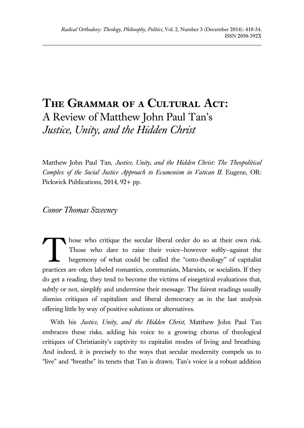## **The Grammar of a Cultural Act:** A Review of Matthew John Paul Tan's *Justice, Unity, and the Hidden Christ*

Matthew John Paul Tan, *Justice, Unity, and the Hidden Christ: The Theopolitical Complex of the Social Justice Approach to Ecumenism in Vatican II*. Eugene, OR: Pickwick Publications, 2014, 92+ pp.

*Conor Thomas Sweeney*

hose who critique the secular liberal order do so at their own risk. Those who dare to raise their voice—however softly—against the hegemony of what could be called the "onto-theology" of capitalist practices are often labeled romantics, communists, Marxists, or socialists. If they do get a reading, they tend to become the victims of eisegetical evaluations that, subtly or not, simplify and undermine their message. The fairest readings usually dismiss critiques of capitalism and liberal democracy as in the last analysis offering little by way of positive solutions or alternatives. T

With his *Justice, Unity, and the Hidden Christ*, Matthew John Paul Tan embraces these risks, adding his voice to a growing chorus of theological critiques of Christianity's captivity to capitalist modes of living and breathing. And indeed, it is precisely to the ways that secular modernity compels us to "live" and "breathe" its tenets that Tan is drawn. Tan's voice is a robust addition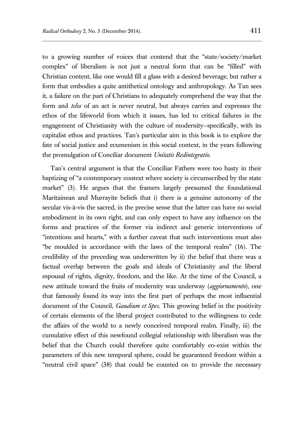to a growing number of voices that contend that the "state/society/market complex" of liberalism is not just a neutral form that can be "filled" with Christian content, like one would fill a glass with a desired beverage, but rather a form that embodies a quite antithetical ontology and anthropology. As Tan sees it, a failure on the part of Christians to adequately comprehend the way that the form and *telos* of an act is never neutral, but always carries and expresses the ethos of the lifeworld from which it issues, has led to critical failures in the engagement of Christianity with the culture of modernity—specifically, with its capitalist ethos and practices. Tan's particular aim in this book is to explore the fate of social justice and ecumenism in this social context, in the years following the promulgation of Conciliar document *Unitatis Redintegratio*.

Tan's central argument is that the Conciliar Fathers were too hasty in their baptizing of "a contemporary context where society is circumscribed by the state market" (3). He argues that the framers largely presumed the foundational Maritainean and Murrayite beliefs that i) there is a genuine autonomy of the secular vis-à-vis the sacred, in the precise sense that the latter can have no social embodiment in its own right, and can only expect to have any influence on the forms and practices of the former via indirect and generic interventions of "intentions and hearts," with a further caveat that such interventions must also "be moulded in accordance with the laws of the temporal realm" (16). The credibility of the preceding was underwritten by ii) the belief that there was a factual overlap between the goals and ideals of Christianity and the liberal espousal of rights, dignity, freedom, and the like. At the time of the Council, a new attitude toward the fruits of modernity was underway (*aggiornamento*), one that famously found its way into the first part of perhaps the most influential document of the Council, *Gaudium et Spes*. This growing belief in the positivity of certain elements of the liberal project contributed to the willingness to cede the affairs of the world to a newly conceived temporal realm. Finally, iii) the cumulative effect of this newfound collegial relationship with liberalism was the belief that the Church could therefore quite comfortably co-exist within the parameters of this new temporal sphere, could be guaranteed freedom within a "neutral civil space" (38) that could be counted on to provide the necessary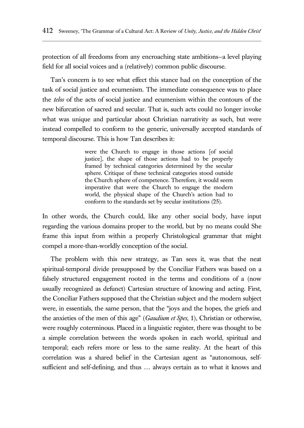protection of all freedoms from any encroaching state ambitions—a level playing field for all social voices and a (relatively) common public discourse.

Tan's concern is to see what effect this stance had on the conception of the task of social justice and ecumenism. The immediate consequence was to place the *telos* of the acts of social justice and ecumenism within the contours of the new bifurcation of sacred and secular. That is, such acts could no longer invoke what was unique and particular about Christian narrativity as such, but were instead compelled to conform to the generic, universally accepted standards of temporal discourse. This is how Tan describes it:

> were the Church to engage in those actions [of social justice], the shape of those actions had to be properly framed by technical categories determined by the secular sphere. Critique of these technical categories stood outside the Church sphere of competence. Therefore, it would seem imperative that were the Church to engage the modern world, the physical shape of the Church's action had to conform to the standards set by secular institutions (25).

In other words, the Church could, like any other social body, have input regarding the various domains proper to the world, but by no means could She frame this input from within a properly Christological grammar that might compel a more-than-worldly conception of the social.

The problem with this new strategy, as Tan sees it, was that the neat spiritual-temporal divide presupposed by the Conciliar Fathers was based on a falsely structured engagement rooted in the terms and conditions of a (now usually recognized as defunct) Cartesian structure of knowing and acting. First, the Conciliar Fathers supposed that the Christian subject and the modern subject were, in essentials, the same person, that the "joys and the hopes, the griefs and the anxieties of the men of this age" (*Gaudium et Spes*, 1), Christian or otherwise, were roughly coterminous. Placed in a linguistic register, there was thought to be a simple correlation between the words spoken in each world, spiritual and temporal; each refers more or less to the same reality. At the heart of this correlation was a shared belief in the Cartesian agent as "autonomous, selfsufficient and self-defining, and thus … always certain as to what it knows and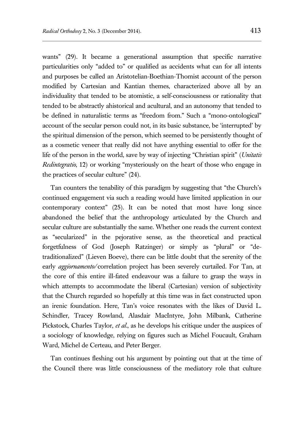wants" (29). It became a generational assumption that specific narrative particularities only "added to" or qualified as accidents what can for all intents and purposes be called an Aristotelian-Boethian-Thomist account of the person modified by Cartesian and Kantian themes, characterized above all by an individuality that tended to be atomistic, a self-consciousness or rationality that tended to be abstractly ahistorical and acultural, and an autonomy that tended to be defined in naturalistic terms as "freedom from." Such a "mono-ontological" account of the secular person could not, in its basic substance, be 'interrupted' by the spiritual dimension of the person, which seemed to be persistently thought of as a cosmetic veneer that really did not have anything essential to offer for the life of the person in the world, save by way of injecting "Christian spirit" (*Unitatis Redintegratio*, 12) or working "mysteriously on the heart of those who engage in the practices of secular culture" (24).

Tan counters the tenability of this paradigm by suggesting that "the Church's continued engagement via such a reading would have limited application in our contemporary context" (25). It can be noted that most have long since abandoned the belief that the anthropology articulated by the Church and secular culture are substantially the same. Whether one reads the current context as "secularized" in the pejorative sense, as the theoretical and practical forgetfulness of God (Joseph Ratzinger) or simply as "plural" or "detraditionalized" (Lieven Boeve), there can be little doubt that the serenity of the early *aggiornamento*/correlation project has been severely curtailed. For Tan, at the core of this entire ill-fated endeavour was a failure to grasp the ways in which attempts to accommodate the liberal (Cartesian) version of subjectivity that the Church regarded so hopefully at this time was in fact constructed upon an irenic foundation. Here, Tan's voice resonates with the likes of David L. Schindler, Tracey Rowland, Alasdair MacIntyre, John Milbank, Catherine Pickstock, Charles Taylor, *et al*., as he develops his critique under the auspices of a sociology of knowledge, relying on figures such as Michel Foucault, Graham Ward, Michel de Certeau, and Peter Berger.

Tan continues fleshing out his argument by pointing out that at the time of the Council there was little consciousness of the mediatory role that culture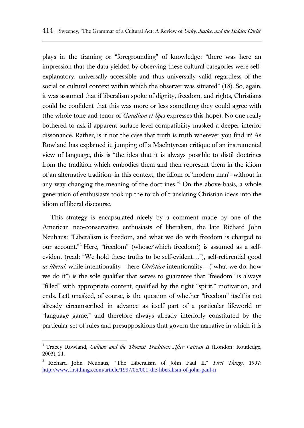plays in the framing or "foregrounding" of knowledge: "there was here an impression that the data yielded by observing these cultural categories were selfexplanatory, universally accessible and thus universally valid regardless of the social or cultural context within which the observer was situated" (18). So, again, it was assumed that if liberalism spoke of dignity, freedom, and rights, Christians could be confident that this was more or less something they could agree with (the whole tone and tenor of *Gaudium et Spes* expresses this hope). No one really bothered to ask if apparent surface-level compatibility masked a deeper interior dissonance. Rather, is it not the case that truth is truth wherever you find it? As Rowland has explained it, jumping off a MacIntyrean critique of an instrumental view of language, this is "the idea that it is always possible to distil doctrines from the tradition which embodies them and then represent them in the idiom of an alternative tradition–in this context, the idiom of 'modern man'—without in any way changing the meaning of the doctrines."<sup>1</sup> On the above basis, a whole generation of enthusiasts took up the torch of translating Christian ideas into the idiom of liberal discourse.

This strategy is encapsulated nicely by a comment made by one of the American neo-conservative enthusiasts of liberalism, the late Richard John Neuhaus: "Liberalism is freedom, and what we do with freedom is charged to our account."<sup>2</sup> Here, "freedom" (whose/which freedom?) is assumed as a selfevident (read: "We hold these truths to be self-evident…"), self-referential good *as liberal*, while intentionality––here *Christian* intentionality––("what we do, how we do it") is the sole qualifier that serves to guarantee that "freedom" is always "filled" with appropriate content, qualified by the right "spirit," motivation, and ends. Left unasked, of course, is the question of whether "freedom" itself is not already circumscribed in advance as itself part of a particular lifeworld or "language game," and therefore always already interiorly constituted by the particular set of rules and presuppositions that govern the narrative in which it is

<sup>&</sup>lt;sup>1</sup> Tracey Rowland, *Culture and the Thomist Tradition: After Vatican II* (London: Routledge, 2003), 21.

<sup>2</sup> Richard John Neuhaus, "The Liberalism of John Paul II," *First Things*, 1997: <http://www.firstthings.com/article/1997/05/001-the-liberalism-of-john-paul-ii>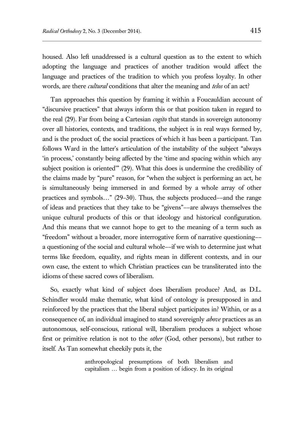housed. Also left unaddressed is a cultural question as to the extent to which adopting the language and practices of another tradition would affect the language and practices of the tradition to which you profess loyalty. In other words, are there *cultural* conditions that alter the meaning and *telos* of an act?

Tan approaches this question by framing it within a Foucauldian account of "discursive practices" that always inform this or that position taken in regard to the real (29). Far from being a Cartesian *cogito* that stands in sovereign autonomy over all histories, contexts, and traditions, the subject is in real ways formed by, and is the product of, the social practices of which it has been a participant. Tan follows Ward in the latter's articulation of the instability of the subject "always 'in process,' constantly being affected by the 'time and spacing within which any subject position is oriented'" (29). What this does is undermine the credibility of the claims made by "pure" reason, for "when the subject is performing an act, he is simultaneously being immersed in and formed by a whole array of other practices and symbols…" (29–30). Thus, the subjects produced––and the range of ideas and practices that they take to be "givens"––are always themselves the unique cultural products of this or that ideology and historical configuration. And this means that we cannot hope to get to the meaning of a term such as "freedom" without a broader, more interrogative form of narrative questioning–– a questioning of the social and cultural whole––if we wish to determine just what terms like freedom, equality, and rights mean in different contexts, and in our own case, the extent to which Christian practices can be transliterated into the idioms of these sacred cows of liberalism.

So, exactly what kind of subject does liberalism produce? And, as D.L. Schindler would make thematic, what kind of ontology is presupposed in and reinforced by the practices that the liberal subject participates in? Within, or as a consequence of, an individual imagined to stand sovereignly *above* practices as an autonomous, self-conscious, rational will, liberalism produces a subject whose first or primitive relation is not to the *other* (God, other persons), but rather to itself. As Tan somewhat cheekily puts it, the

> anthropological presumptions of both liberalism and capitalism … begin from a position of idiocy. In its original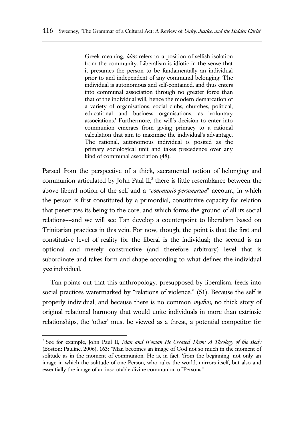Greek meaning, *idios* refers to a position of selfish isolation from the community. Liberalism is idiotic in the sense that it presumes the person to be fundamentally an individual prior to and independent of any communal belonging. The individual is autonomous and self-contained, and thus enters into communal association through no greater force than that of the individual will, hence the modern demarcation of a variety of organisations, social clubs, churches, political, educational and business organisations, as 'voluntary associations.' Furthermore, the will's decision to enter into communion emerges from giving primacy to a rational calculation that aim to maximise the individual's advantage. The rational, autonomous individual is posited as the primary sociological unit and takes precedence over any kind of communal association (48).

Parsed from the perspective of a thick, sacramental notion of belonging and communion articulated by John Paul  $II$ ,<sup>3</sup> there is little resemblance between the above liberal notion of the self and a "*communio personarum*" account, in which the person is first constituted by a primordial, constitutive capacity for relation that penetrates its being to the core, and which forms the ground of all its social relations––and we will see Tan develop a counterpoint to liberalism based on Trinitarian practices in this vein. For now, though, the point is that the first and constitutive level of reality for the liberal is the individual; the second is an optional and merely constructive (and therefore arbitrary) level that is subordinate and takes form and shape according to what defines the individual *qua* individual.

Tan points out that this anthropology, presupposed by liberalism, feeds into social practices watermarked by "relations of violence." (51). Because the self is properly individual, and because there is no common *mythos*, no thick story of original relational harmony that would unite individuals in more than extrinsic relationships, the 'other' must be viewed as a threat, a potential competitor for

 3 See for example, John Paul II, *Man and Woman He Created Them: A Theology of the Body* (Boston: Pauline, 2006), 163: "Man becomes an image of God not so much in the moment of solitude as in the moment of communion. He is, in fact, 'from the beginning' not only an image in which the solitude of one Person, who rules the world, mirrors itself, but also and essentially the image of an inscrutable divine communion of Persons."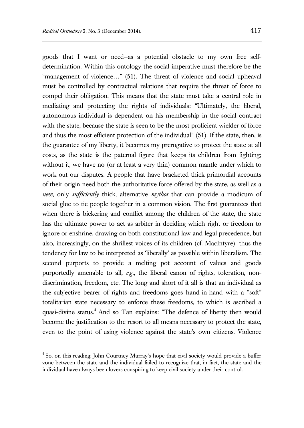goods that I want or need—as a potential obstacle to my own free selfdetermination. Within this ontology the social imperative must therefore be the "management of violence…" (51). The threat of violence and social upheaval must be controlled by contractual relations that require the threat of force to compel their obligation. This means that the state must take a central role in mediating and protecting the rights of individuals: "Ultimately, the liberal, autonomous individual is dependent on his membership in the social contract with the state, because the state is seen to be the most proficient wielder of force and thus the most efficient protection of the individual" (51). If the state, then, is the guarantee of my liberty, it becomes my prerogative to protect the state at all costs, as the state is the paternal figure that keeps its children from fighting; without it, we have no (or at least a very thin) common mantle under which to work out our disputes. A people that have bracketed thick primordial accounts of their origin need both the authoritative force offered by the state, as well as a *new*, only *sufficiently* thick, alternative *mythos* that can provide a modicum of social glue to tie people together in a common vision. The first guarantees that when there is bickering and conflict among the children of the state, the state has the ultimate power to act as arbiter in deciding which right or freedom to ignore or enshrine, drawing on both constitutional law and legal precedence, but also, increasingly, on the shrillest voices of its children (cf. MacIntyre)—thus the tendency for law to be interpreted as 'liberally' as possible within liberalism. The second purports to provide a melting pot account of values and goods purportedly amenable to all, *e.g.*, the liberal canon of rights, toleration, nondiscrimination, freedom, etc. The long and short of it all is that an individual as the subjective bearer of rights and freedoms goes hand-in-hand with a "soft" totalitarian state necessary to enforce these freedoms, to which is ascribed a quasi-divine status.<sup>4</sup> And so Tan explains: "The defence of liberty then would become the justification to the resort to all means necessary to protect the state, even to the point of using violence against the state's own citizens. Violence

<sup>&</sup>lt;sup>4</sup> So, on this reading, John Courtney Murray's hope that civil society would provide a buffer zone between the state and the individual failed to recognize that, in fact, the state and the individual have always been lovers conspiring to keep civil society under their control.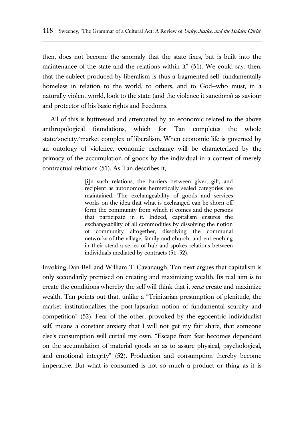then, does not become the anomaly that the state fixes, but is built into the maintenance of the state and the relations within it" (51). We could say, then, that the subject produced by liberalism is thus a fragmented self—fundamentally homeless in relation to the world, to others, and to God—who must, in a naturally violent world, look to the state (and the violence it sanctions) as saviour and protector of his basic rights and freedoms.

All of this is buttressed and attenuated by an economic related to the above anthropological foundations, which for Tan completes the whole state/society/market complex of liberalism. When economic life is governed by an ontology of violence, economic exchange will be characterized by the primacy of the accumulation of goods by the individual in a context of merely contractual relations (51). As Tan describes it,

> [i]n such relations, the barriers between giver, gift, and recipient as autonomous hermetically sealed categories are maintained. The exchangeability of goods and services works on the idea that what is exchanged can be shorn off form the community from which it comes and the persons that participate in it. Indeed, capitalism ensures the exchangeability of all commodities by dissolving the notion of community altogether, dissolving the communal networks of the village, family and church, and entrenching in their stead a series of hub-and-spokes relations between individuals mediated by contracts (51–52).

Invoking Dan Bell and William T. Cavanaugh, Tan next argues that capitalism is only secondarily premised on creating and maximizing wealth. Its real aim is to create the conditions whereby the self will think that it *must* create and maximize wealth. Tan points out that, unlike a "Trinitarian presumption of plenitude, the market institutionalizes the post-lapsarian notion of fundamental scarcity and competition" (52). Fear of the other, provoked by the egocentric individualist self, means a constant anxiety that I will not get my fair share, that someone else's consumption will curtail my own. "Escape from fear becomes dependent on the accumulation of material goods so as to assure physical, psychological, and emotional integrity" (52). Production and consumption thereby become imperative. But what is consumed is not so much a product or thing as it is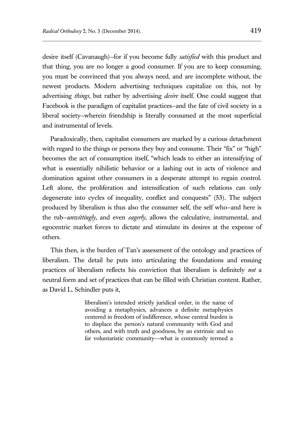desire itself (Cavanaugh)—for if you become fully *satisfied* with this product and that thing, you are no longer a good consumer. If you are to keep consuming, you must be convinced that you always need, and are incomplete without, the newest products. Modern advertising techniques capitalize on this, not by advertising *things*, but rather by advertising *desire* itself. One could suggest that Facebook is the paradigm of capitalist practices—and the fate of civil society in a liberal society—wherein friendship is literally consumed at the most superficial and instrumental of levels.

Paradoxically, then, capitalist consumers are marked by a curious detachment with regard to the things or persons they buy and consume. Their "fix" or "high" becomes the act of consumption itself, "which leads to either an intensifying of what is essentially nihilistic behavior or a lashing out in acts of violence and domination against other consumers in a desperate attempt to regain control. Left alone, the proliferation and intensification of such relations can only degenerate into cycles of inequality, conflict and conquests" (53). The subject produced by liberalism is thus also the consumer self, the self who—and here is the rub—*unwittingly*, and even *eagerly*, allows the calculative, instrumental, and egocentric market forces to dictate and stimulate its desires at the expense of others.

This then, is the burden of Tan's assessment of the ontology and practices of liberalism. The detail he puts into articulating the foundations and ensuing practices of liberalism reflects his conviction that liberalism is definitely *not* a neutral form and set of practices that can be filled with Christian content. Rather, as David L. Schindler puts it,

> liberalism's intended strictly juridical order, in the name of avoiding a metaphysics, advances a definite metaphysics centered in freedom of indifference, whose central burden is to displace the person's natural community with God and others, and with truth and goodness, by an extrinsic and so far voluntaristic community––what is commonly termed a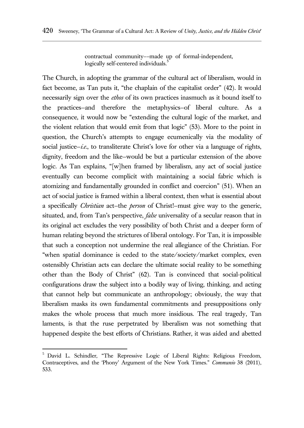contractual community––made up of formal-independent, logically self-centered individuals.<sup>5</sup>

The Church, in adopting the grammar of the cultural act of liberalism, would in fact become, as Tan puts it, "the chaplain of the capitalist order" (42). It would necessarily sign over the *ethos* of its own practices inasmuch as it bound itself to the practices—and therefore the metaphysics—of liberal culture. As a consequence, it would now be "extending the cultural logic of the market, and the violent relation that would emit from that logic" (53). More to the point in question, the Church's attempts to engage ecumenically via the modality of social justice—*i.e.*, to transliterate Christ's love for other via a language of rights, dignity, freedom and the like—would be but a particular extension of the above logic. As Tan explains, "[w]hen framed by liberalism, any act of social justice eventually can become complicit with maintaining a social fabric which is atomizing and fundamentally grounded in conflict and coercion" (51). When an act of social justice is framed within a liberal context, then what is essential about a specifically *Christian* act—the *person* of Christ!—must give way to the generic, situated, and, from Tan's perspective, *false* universality of a secular reason that in its original act excludes the very possibility of both Christ and a deeper form of human relating beyond the strictures of liberal ontology. For Tan, it is impossible that such a conception not undermine the real allegiance of the Christian. For "when spatial dominance is ceded to the state/society/market complex, even ostensibly Christian acts can declare the ultimate social reality to be something other than the Body of Christ" (62). Tan is convinced that social-political configurations draw the subject into a bodily way of living, thinking, and acting that cannot help but communicate an anthropology; obviously, the way that liberalism masks its own fundamental commitments and presuppositions only makes the whole process that much more insidious. The real tragedy, Tan laments, is that the ruse perpetrated by liberalism was not something that happened despite the best efforts of Christians. Rather, it was aided and abetted

<sup>&</sup>lt;sup>5</sup> David L. Schindler, "The Repressive Logic of Liberal Rights: Religious Freedom, Contraceptives, and the 'Phony' Argument of the New York Times." *Communio* 38 (2011), 533.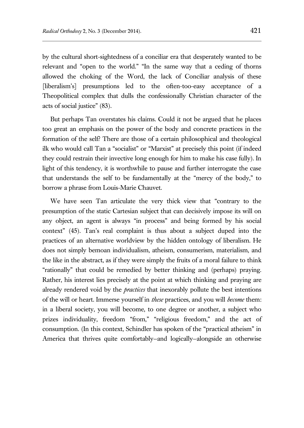by the cultural short-sightedness of a conciliar era that desperately wanted to be relevant and "open to the world." "In the same way that a ceding of thorns allowed the choking of the Word, the lack of Conciliar analysis of these [liberalism's] presumptions led to the often-too-easy acceptance of a Theopolitical complex that dulls the confessionally Christian character of the acts of social justice" (83).

But perhaps Tan overstates his claims. Could it not be argued that he places too great an emphasis on the power of the body and concrete practices in the formation of the self? There are those of a certain philosophical and theological ilk who would call Tan a "socialist" or "Marxist" at precisely this point (if indeed they could restrain their invective long enough for him to make his case fully). In light of this tendency, it is worthwhile to pause and further interrogate the case that understands the self to be fundamentally at the "mercy of the body," to borrow a phrase from Louis-Marie Chauvet.

We have seen Tan articulate the very thick view that "contrary to the presumption of the static Cartesian subject that can decisively impose its will on any object, an agent is always "in process" and being formed by his social context" (45). Tan's real complaint is thus about a subject duped into the practices of an alternative worldview by the hidden ontology of liberalism. He does not simply bemoan individualism, atheism, consumerism, materialism, and the like in the abstract, as if they were simply the fruits of a moral failure to think "rationally" that could be remedied by better thinking and (perhaps) praying. Rather, his interest lies precisely at the point at which thinking and praying are already rendered void by the *practices* that inexorably pollute the best intentions of the will or heart. Immerse yourself in *these* practices, and you will *become* them: in a liberal society, you will become, to one degree or another, a subject who prizes individuality, freedom "from," "religious freedom," and the act of consumption. (In this context, Schindler has spoken of the "practical atheism" in America that thrives quite comfortably—and logically—alongside an otherwise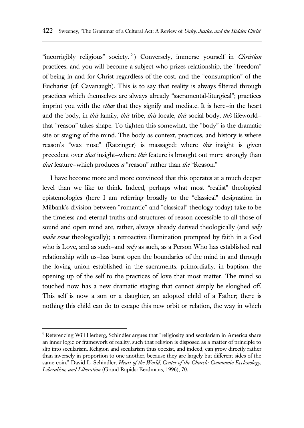"incorrigibly religious" society. 6 ) Conversely, immerse yourself in *Christian* practices, and you will become a subject who prizes relationship, the "freedom" of being in and for Christ regardless of the cost, and the "consumption" of the Eucharist (cf. Cavanaugh). This is to say that reality is always filtered through practices which themselves are always already "sacramental-liturgical"; practices imprint you with the *ethos* that they signify and mediate. It is here—in the heart and the body, in *this* family, *this* tribe, *this* locale, *this* social body, *this* lifeworld that "reason" takes shape. To tighten this somewhat, the "body" is the dramatic site or staging of the mind. The body as context, practices, and history is where reason's "wax nose" (Ratzinger) is massaged: where *this* insight is given precedent over *that* insight—where *this* feature is brought out more strongly than *that* feature—which produces *a* "reason" rather than *the* "Reason."

I have become more and more convinced that this operates at a much deeper level than we like to think. Indeed, perhaps what most "realist" theological epistemologies (here I am referring broadly to the "classical" designation in Milbank's division between "romantic" and "classical" theology today) take to be the timeless and eternal truths and structures of reason accessible to all those of sound and open mind are, rather, always already derived theologically (and *only make sense* theologically); a retroactive illumination prompted by faith in a God who is Love, and as such—and *only* as such, as a Person Who has established real relationship with us—has burst open the boundaries of the mind in and through the loving union established in the sacraments, primordially, in baptism, the opening up of the self to the practices of love that most matter. The mind so touched now has a new dramatic staging that cannot simply be sloughed off. This self is now a son or a daughter, an adopted child of a Father; there is nothing this child can do to escape this new orbit or relation, the way in which

<sup>6</sup> Referencing Will Herberg, Schindler argues that "religiosity and secularism in America share an inner logic or framework of reality, such that religion is disposed as a matter of principle to slip into secularism. Religion and secularism thus coexist, and indeed, can grow directly rather than inversely in proportion to one another, because they are largely but different sides of the same coin." David L. Schindler, *Heart of the World, Center of the Church: Communio Ecclesiology, Liberalism, and Liberation* (Grand Rapids: Eerdmans, 1996), 70.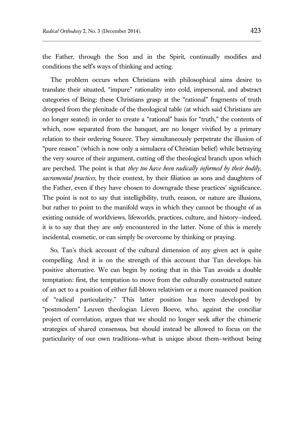the Father, through the Son and in the Spirit, continually modifies and conditions the self's ways of thinking and acting.

The problem occurs when Christians with philosophical aims desire to translate their situated, "impure" rationality into cold, impersonal, and abstract categories of Being; these Christians grasp at the "rational" fragments of truth dropped from the plenitude of the theological table (at which said Christians are no longer seated) in order to create a "rational" basis for "truth," the contents of which, now separated from the banquet, are no longer vivified by a primary relation to their ordering Source. They simultaneously perpetrate the illusion of "pure reason" (which is now only a simulacra of Christian belief) while betraying the very source of their argument, cutting off the theological branch upon which are perched. The point is that *they too have been radically informed by their bodily, sacramental practices*, by their context, by their filiation as sons and daughters of the Father, even if they have chosen to downgrade these practices' significance. The point is not to say that intelligibility, truth, reason, or nature are illusions, but rather to point to the manifold ways in which they cannot be thought of as existing outside of worldviews, lifeworlds, practices, culture, and history—indeed, it is to say that they are *only* encountered in the latter. None of this is merely incidental, cosmetic, or can simply be overcome by thinking or praying.

So, Tan's thick account of the cultural dimension of any given act is quite compelling. And it is on the strength of this account that Tan develops his positive alternative. We can begin by noting that in this Tan avoids a double temptation: first, the temptation to move from the culturally constructed nature of an act to a position of either full-blown relativism or a more nuanced position of "radical particularity." This latter position has been developed by "postmodern" Leuven theologian Lieven Boeve, who, against the conciliar project of correlation, argues that we should no longer seek after the chimeric strategies of shared consensus, but should instead be allowed to focus on the particularity of our own traditions—what is unique about them—without being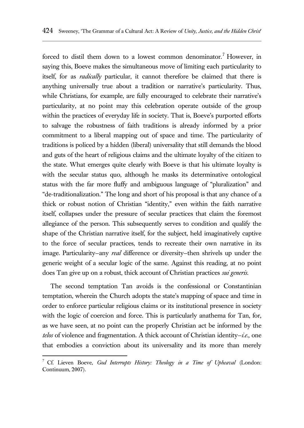forced to distil them down to a lowest common denominator.<sup>7</sup> However, in saying this, Boeve makes the simultaneous move of limiting each particularity to itself, for as *radically* particular, it cannot therefore be claimed that there is anything universally true about a tradition or narrative's particularity. Thus, while Christians, for example, are fully encouraged to celebrate their narrative's particularity, at no point may this celebration operate outside of the group within the practices of everyday life in society. That is, Boeve's purported efforts to salvage the robustness of faith traditions is already informed by a prior commitment to a liberal mapping out of space and time. The particularity of traditions is policed by a hidden (liberal) universality that still demands the blood and guts of the heart of religious claims and the ultimate loyalty of the citizen to the state. What emerges quite clearly with Boeve is that his ultimate loyalty is with the secular status quo, although he masks its determinative ontological status with the far more fluffy and ambiguous language of "pluralization" and "de-traditionalization." The long and short of his proposal is that any chance of a thick or robust notion of Christian "identity," even within the faith narrative itself, collapses under the pressure of secular practices that claim the foremost allegiance of the person. This subsequently serves to condition and qualify the shape of the Christian narrative itself, for the subject, held imaginatively captive to the force of secular practices, tends to recreate their own narrative in its image. Particularity—any *real* difference or diversity—then shrivels up under the generic weight of a secular logic of the same. Against this reading, at no point does Tan give up on a robust, thick account of Christian practices *sui generis*.

The second temptation Tan avoids is the confessional or Constantinian temptation, wherein the Church adopts the state's mapping of space and time in order to enforce particular religious claims or its institutional presence in society with the logic of coercion and force. This is particularly anathema for Tan, for, as we have seen, at no point can the properly Christian act be informed by the *telos* of violence and fragmentation. A thick account of Christian identity—*i.e.*, one that embodies a conviction about its universality and its more than merely

<sup>7</sup> Cf. Lieven Boeve, *God Interrupts History: Theology in a Time of Upheaval* (London: Continuum, 2007).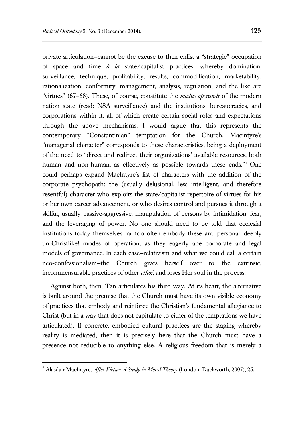private articulation—cannot be the excuse to then enlist a "strategic" occupation of space and time *à la* state/capitalist practices, whereby domination, surveillance, technique, profitability, results, commodification, marketability, rationalization, conformity, management, analysis, regulation, and the like are "virtues" (67–68). These, of course, constitute the *modus operandi* of the modern nation state (read: NSA surveillance) and the institutions, bureaucracies, and corporations within it, all of which create certain social roles and expectations through the above mechanisms. I would argue that this represents the contemporary "Constantinian" temptation for the Church. Macintyre's "managerial character" corresponds to these characteristics, being a deployment of the need to "direct and redirect their organizations' available resources, both human and non-human, as effectively as possible towards these ends."<sup>8</sup> One could perhaps expand MacIntyre's list of characters with the addition of the corporate psychopath: the (usually delusional, less intelligent, and therefore resentful) character who exploits the state/capitalist repertoire of virtues for his or her own career advancement, or who desires control and pursues it through a skilful, usually passive-aggressive, manipulation of persons by intimidation, fear, and the leveraging of power. No one should need to be told that ecclesial institutions today themselves far too often embody these anti-personal—deeply un-Christlike!—modes of operation, as they eagerly ape corporate and legal models of governance. In each case—relativism and what we could call a certain neo-confessionalism—the Church gives herself over to the extrinsic, incommensurable practices of other *ethoi*, and loses Her soul in the process.

Against both, then, Tan articulates his third way. At its heart, the alternative is built around the premise that the Church must have its own visible economy of practices that embody and reinforce the Christian's fundamental allegiance to Christ (but in a way that does not capitulate to either of the temptations we have articulated). If concrete, embodied cultural practices are the staging whereby reality is mediated, then it is precisely here that the Church must have a presence not reducible to anything else. A religious freedom that is merely a

<sup>8</sup> Alasdair MacIntyre, *After Virtue: A Study in Moral Theory* (London: Duckworth, 2007), 25.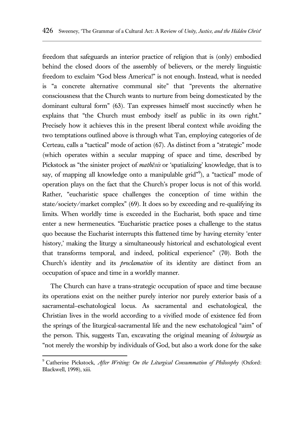freedom that safeguards an interior practice of religion that is (only) embodied behind the closed doors of the assembly of believers, or the merely linguistic freedom to exclaim "God bless America!" is not enough. Instead, what is needed is "a concrete alternative communal site" that "prevents the alternative consciousness that the Church wants to nurture from being domesticated by the dominant cultural form" (63). Tan expresses himself most succinctly when he explains that "the Church must embody itself as public in its own right." Precisely how it achieves this in the present liberal context while avoiding the two temptations outlined above is through what Tan, employing categories of de Certeau, calls a "tactical" mode of action (67). As distinct from a "strategic" mode (which operates within a secular mapping of space and time, described by Pickstock as "the sinister project of *mathēsis* or 'spatializing' knowledge, that is to say, of mapping all knowledge onto a manipulable grid"<sup>9</sup>), a "tactical" mode of operation plays on the fact that the Church's proper locus is not of this world. Rather, "eucharistic space challenges the conception of time within the state/society/market complex" (69). It does so by exceeding and re-qualifying its limits. When worldly time is exceeded in the Eucharist, both space and time enter a new hermeneutics. "Eucharistic practice poses a challenge to the status quo because the Eucharist interrupts this flattened time by having eternity 'enter history,' making the liturgy a simultaneously historical and eschatological event that transforms temporal, and indeed, political experience" (70). Both the Church's identity and its *proclamation* of its identity are distinct from an occupation of space and time in a worldly manner.

The Church can have a trans-strategic occupation of space and time because its operations exist on the neither purely interior nor purely exterior basis of a sacramental–eschatological locus. As sacramental and eschatological, the Christian lives in the world according to a vivified mode of existence fed from the springs of the liturgical-sacramental life and the new eschatological "aim" of the person. This, suggests Tan, excavating the original meaning of *leitourgia* as "not merely the worship by individuals of God, but also a work done for the sake

<sup>9</sup> Catherine Pickstock, *After Writing: On the Liturgical Consummation of Philosophy* (Oxford: Blackwell, 1998), xiii.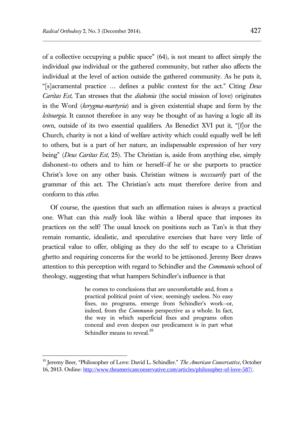of a collective occupying a public space" (64), is not meant to affect simply the individual *qua* individual or the gathered community, but rather also affects the individual at the level of action outside the gathered community. As he puts it, "[s]acramental practice … defines a public context for the act." Citing *Deus Caritas Est*, Tan stresses that the *diakonia* (the social mission of love) originates in the Word (*kerygma-martyria*) and is given existential shape and form by the *leitourgia*. It cannot therefore in any way be thought of as having a logic all its own, outside of its two essential qualifiers. As Benedict XVI put it, "[f]or the Church, charity is not a kind of welfare activity which could equally well be left to others, but is a part of her nature, an indispensable expression of her very being" (*Deus Caritas Est*, 25). The Christian is, aside from anything else, simply dishonest—to others and to him or herself—if he or she purports to practice Christ's love on any other basis. Christian witness is *necessarily* part of the grammar of this act. The Christian's acts must therefore derive from and conform to this *ethos*.

Of course, the question that such an affirmation raises is always a practical one. What can this *really* look like within a liberal space that imposes its practices on the self? The usual knock on positions such as Tan's is that they remain romantic, idealistic, and speculative exercises that have very little of practical value to offer, obliging as they do the self to escape to a Christian ghetto and requiring concerns for the world to be jettisoned. Jeremy Beer draws attention to this perception with regard to Schindler and the *Communio* school of theology, suggesting that what hampers Schindler's influence is that

> he comes to conclusions that are uncomfortable and, from a practical political point of view, seemingly useless. No easy fixes, no programs, emerge from Schindler's work—or, indeed, from the *Communio* perspective as a whole. In fact, the way in which superficial fixes and programs often conceal and even deepen our predicament is in part what Schindler means to reveal.<sup>10</sup>

<sup>&</sup>lt;sup>10</sup> Jeremy Beer, "Philosopher of Love: David L. Schindler." *The American Conservative*, October 16, 2013. Online: <http://www.theamericanconservative.com/articles/philosopher-of-love-587/>.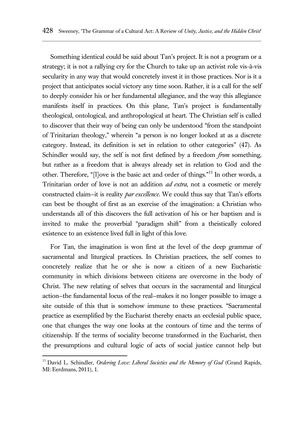Something identical could be said about Tan's project. It is not a program or a strategy; it is not a rallying cry for the Church to take up an activist role vis-à-vis secularity in any way that would concretely invest it in those practices. Nor is it a project that anticipates social victory any time soon. Rather, it is a call for the self to deeply consider his or her fundamental allegiance, and the way this allegiance manifests itself in practices. On this plane, Tan's project is fundamentally theological, ontological, and anthropological at heart. The Christian self is called to discover that their way of being can only be understood "from the standpoint of Trinitarian theology," wherein "a person is no longer looked at as a discrete category. Instead, its definition is set in relation to other categories" (47). As Schindler would say, the self is not first defined by a freedom *from* something, but rather as a freedom that is always already set in relation to God and the other. Therefore, "[l]ove is the basic act and order of things."<sup>11</sup> In other words, a Trinitarian order of love is not an addition *ad extra*, not a cosmetic or merely constructed claim—it is reality *par excellence*. We could thus say that Tan's efforts can best be thought of first as an exercise of the imagination: a Christian who understands all of this discovers the full activation of his or her baptism and is invited to make the proverbial "paradigm shift" from a theistically colored existence to an existence lived full in light of this love.

For Tan, the imagination is won first at the level of the deep grammar of sacramental and liturgical practices. In Christian practices, the self comes to concretely realize that he or she is now a citizen of a new Eucharistic community in which divisions between citizens are overcome in the body of Christ. The new relating of selves that occurs in the sacramental and liturgical action—the fundamental locus of the real—makes it no longer possible to image a site outside of this that is somehow immune to these practices. "Sacramental practice as exemplified by the Eucharist thereby enacts an ecclesial public space, one that changes the way one looks at the contours of time and the terms of citizenship. If the terms of sociality become transformed in the Eucharist, then the presumptions and cultural logic of acts of social justice cannot help but

<sup>&</sup>lt;sup>11</sup> David L. Schindler, *Ordering Love: Liberal Societies and the Memory of God* (Grand Rapids, MI: Eerdmans, 2011), 1.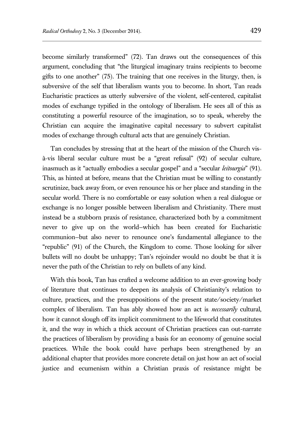become similarly transformed" (72). Tan draws out the consequences of this argument, concluding that "the liturgical imaginary trains recipients to become gifts to one another" (75). The training that one receives in the liturgy, then, is subversive of the self that liberalism wants you to become. In short, Tan reads Eucharistic practices as utterly subversive of the violent, self-centered, capitalist modes of exchange typified in the ontology of liberalism. He sees all of this as constituting a powerful resource of the imagination, so to speak, whereby the Christian can acquire the imaginative capital necessary to subvert capitalist modes of exchange through cultural acts that are genuinely Christian.

Tan concludes by stressing that at the heart of the mission of the Church visà-vis liberal secular culture must be a "great refusal" (92) of secular culture, inasmuch as it "actually embodies a secular gospel" and a "secular *leitourgia*" (91). This, as hinted at before, means that the Christian must be willing to constantly scrutinize, back away from, or even renounce his or her place and standing in the secular world. There is no comfortable or easy solution when a real dialogue or exchange is no longer possible between liberalism and Christianity. There must instead be a stubborn praxis of resistance, characterized both by a commitment never to give up on the world—which has been created for Eucharistic communion—but also never to renounce one's fundamental allegiance to the "republic" (91) of the Church, the Kingdom to come. Those looking for silver bullets will no doubt be unhappy; Tan's rejoinder would no doubt be that it is never the path of the Christian to rely on bullets of any kind.

With this book, Tan has crafted a welcome addition to an ever-growing body of literature that continues to deepen its analysis of Christianity's relation to culture, practices, and the presuppositions of the present state/society/market complex of liberalism. Tan has ably showed how an act is *necessarily* cultural, how it cannot slough off its implicit commitment to the lifeworld that constitutes it, and the way in which a thick account of Christian practices can out-narrate the practices of liberalism by providing a basis for an economy of genuine social practices. While the book could have perhaps been strengthened by an additional chapter that provides more concrete detail on just how an act of social justice and ecumenism within a Christian praxis of resistance might be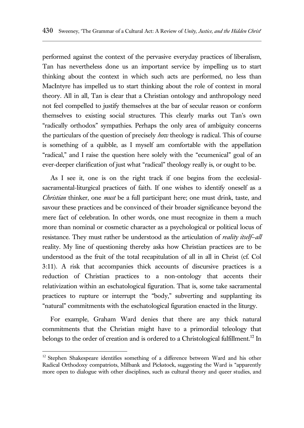performed against the context of the pervasive everyday practices of liberalism, Tan has nevertheless done us an important service by impelling us to start thinking about the context in which such acts are performed, no less than MacIntyre has impelled us to start thinking about the role of context in moral theory. All in all, Tan is clear that a Christian ontology and anthropology need not feel compelled to justify themselves at the bar of secular reason or conform themselves to existing social structures. This clearly marks out Tan's own "radically orthodox" sympathies. Perhaps the only area of ambiguity concerns the particulars of the question of precisely *how* theology is radical. This of course is something of a quibble, as I myself am comfortable with the appellation "radical," and I raise the question here solely with the "ecumenical" goal of an ever-deeper clarification of just what "radical" theology really is, or ought to be.

As I see it, one is on the right track if one begins from the ecclesialsacramental-liturgical practices of faith. If one wishes to identify oneself as a *Christian* thinker, one *must* be a full participant here; one must drink, taste, and savour these practices and be convinced of their broader significance beyond the mere fact of celebration. In other words, one must recognize in them a much more than nominal or cosmetic character as a psychological or political locus of resistance. They must rather be understood as the articulation of *reality itself*—*all* reality. My line of questioning thereby asks how Christian practices are to be understood as the fruit of the total recapitulation of all in all in Christ (cf. Col 3:11). A risk that accompanies thick accounts of discursive practices is a reduction of Christian practices to a non-ontology that accents their relativization within an eschatological figuration. That is, some take sacramental practices to rupture or interrupt the "body," subverting and supplanting its "natural" commitments with the eschatological figuration enacted in the liturgy.

For example, Graham Ward denies that there are any thick natural commitments that the Christian might have to a primordial teleology that belongs to the order of creation and is ordered to a Christological fulfillment.<sup>12</sup> In

<sup>&</sup>lt;sup>12</sup> Stephen Shakespeare identifies something of a difference between Ward and his other Radical Orthodoxy compatriots, Milbank and Pickstock, suggesting the Ward is "apparently more open to dialogue with other disciplines, such as cultural theory and queer studies, and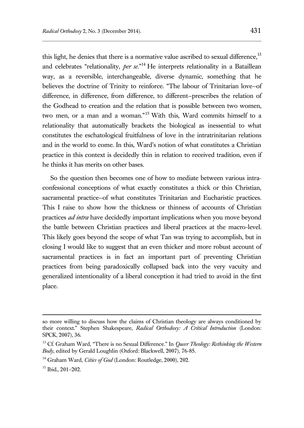this light, he denies that there is a normative value ascribed to sexual difference, $^{13}$ and celebrates "relationality, *per se*."<sup>14</sup> He interprets relationality in a Bataillean way, as a reversible, interchangeable, diverse dynamic, something that he believes the doctrine of Trinity to reinforce. "The labour of Trinitarian love—of difference, in difference, from difference, to different—prescribes the relation of the Godhead to creation and the relation that is possible between two women, two men, or a man and a woman."<sup>15</sup> With this, Ward commits himself to a relationality that automatically brackets the biological as inessential to what constitutes the eschatological fruitfulness of love in the intratrinitarian relations and in the world to come. In this, Ward's notion of what constitutes a Christian practice in this context is decidedly thin in relation to received tradition, even if he thinks it has merits on other bases.

So the question then becomes one of how to mediate between various intraconfessional conceptions of what exactly constitutes a thick or thin Christian, sacramental practice–of what constitutes Trinitarian and Eucharistic practices. This I raise to show how the thickness or thinness of accounts of Christian practices *ad intra* have decidedly important implications when you move beyond the battle between Christian practices and liberal practices at the macro-level. This likely goes beyond the scope of what Tan was trying to accomplish, but in closing I would like to suggest that an even thicker and more robust account of sacramental practices is in fact an important part of preventing Christian practices from being paradoxically collapsed back into the very vacuity and generalized intentionality of a liberal conception it had tried to avoid in the first place.

so more willing to discuss how the claims of Christian theology are always conditioned by their context." Stephen Shakespeare, *Radical Orthodoxy: A Critical Introduction* (London: SPCK, 2007), 36.

<sup>&</sup>lt;sup>13</sup> Cf. Graham Ward, "There is no Sexual Difference." In *Queer Theology: Rethinking the Western Body*, edited by Gerald Loughlin (Oxford: Blackwell, 2007), 76-85.

<sup>&</sup>lt;sup>14</sup> Graham Ward, *Cities of God* (London: Routledge, 2000), 202.

<sup>15</sup> Ibid., 201–202.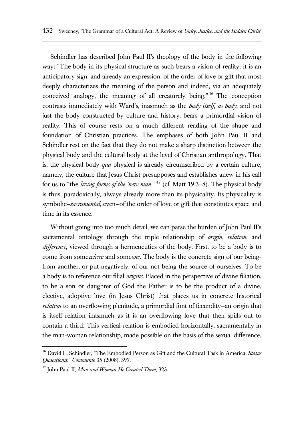Schindler has described John Paul II's theology of the body in the following way: "The body in its physical structure as such bears a vision of reality: it is an anticipatory sign, and already an expression, of the order of love or gift that most deeply characterizes the meaning of the person and indeed, via an adequately conceived analogy, the meaning of all creaturely being."<sup>16</sup> The conception contrasts immediately with Ward's, inasmuch as the *body itself*, *as body*, and not just the body constructed by culture and history, bears a primordial vision of reality. This of course rests on a much different reading of the shape and foundation of Christian practices. The emphases of both John Paul II and Schindler rest on the fact that they do not make a sharp distinction between the physical body and the cultural body at the level of Christian anthropology. That is, the physical body *qua* physical is already circumscribed by a certain culture, namely, the culture that Jesus Christ presupposes and establishes anew in his call for us to "the *living forms of the 'new man'* "<sup>17</sup> (cf. Matt 19:3–8). The physical body is thus, paradoxically, always already more than its physicality. Its physicality is symbolic—*sacramental*, even—of the order of love or gift that constitutes space and time in its essence.

Without going into too much detail, we can parse the burden of John Paul II's sacramental ontology through the triple relationship of *origin*, *relation*, and *difference*, viewed through a hermeneutics of the body. First, to be a body is to come from some*where* and some*one*. The body is the concrete sign of our beingfrom-another, or put negatively, of our not-being-the-source-of-ourselves. To be a body is to reference our filial *origins*. Placed in the perspective of divine filiation, to be a son or daughter of God the Father is to be the product of a divine, elective, adoptive love (in Jesus Christ) that places us in concrete historical *relation* to an overflowing plenitude, a primordial font of fecundity—an origin that is itself relation inasmuch as it is an overflowing love that then spills out to contain a third. This vertical relation is embodied horizontally, sacramentally in the man-woman relationship, made possible on the basis of the sexual difference,

<sup>16</sup> David L. Schindler, "The Embodied Person as Gift and the Cultural Task in America: *Status Quaestionis*." *Communio* 35 (2008), 397.

<sup>17</sup> John Paul II, *Man and Woman He Created Them*, 323.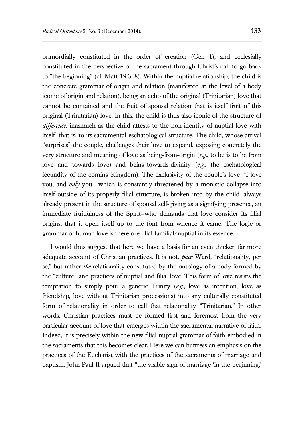primordially constituted in the order of creation (Gen 1), and ecclesially constituted in the perspective of the sacrament through Christ's call to go back to "the beginning" (cf. Matt 19:3–8). Within the nuptial relationship, the child is the concrete grammar of origin and relation (manifested at the level of a body iconic of origin and relation), being an echo of the original (Trinitarian) love that cannot be contained and the fruit of spousal relation that is itself fruit of this original (Trinitarian) love. In this, the child is thus also iconic of the structure of *difference*, inasmuch as the child attests to the non-identity of nuptial love with itself—that is, to its sacramental-eschatological structure. The child, whose arrival "surprises" the couple, challenges their love to expand, exposing concretely the very structure and meaning of love as being-from-origin (*e.g.*, to be is to be from love and towards love) and being-towards-divinity (*e.g.*, the eschatological fecundity of the coming Kingdom). The exclusivity of the couple's love—"I love you, and *only* you"—which is constantly threatened by a monistic collapse into itself outside of its properly filial structure, is broken into by the child—always already present in the structure of spousal self-giving as a signifying presence, an immediate fruitfulness of the Spirit—who demands that love consider its filial origins, that it open itself up to the font from whence it came. The logic or grammar of human love is therefore filial-familial/nuptial in its essence.

I would thus suggest that here we have a basis for an even thicker, far more adequate account of Christian practices. It is not, *pace* Ward, "relationality, per se," but rather *the* relationality constituted by the ontology of a body formed by the "culture" and practices of nuptial and filial love. This form of love resists the temptation to simply pour a generic Trinity (*e.g.*, love as intention, love as friendship, love without Trinitarian processions) into any culturally constituted form of relationality in order to call that relationality "Trinitarian." In other words, Christian practices must be formed first and foremost from the very particular account of love that emerges within the sacramental narrative of faith. Indeed, it is precisely within the new filial-nuptial grammar of faith embodied in the sacraments that this becomes clear. Here we can buttress an emphasis on the practices of the Eucharist with the practices of the sacraments of marriage and baptism. John Paul II argued that "the visible sign of marriage 'in the beginning,'